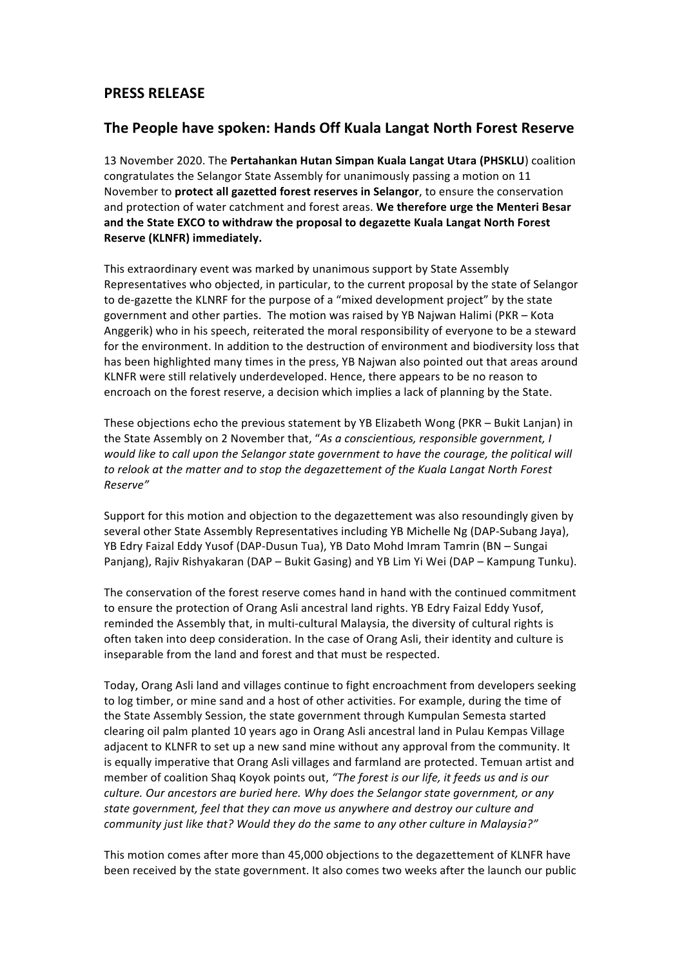### **PRESS RELEASE**

### **The People have spoken: Hands Off Kuala Langat North Forest Reserve**

13 November 2020. The Pertahankan Hutan Simpan Kuala Langat Utara (PHSKLU) coalition congratulates the Selangor State Assembly for unanimously passing a motion on 11 November to **protect all gazetted forest reserves in Selangor**, to ensure the conservation and protection of water catchment and forest areas. We therefore urge the Menteri Besar and the State EXCO to withdraw the proposal to degazette Kuala Langat North Forest **Reserve (KLNFR) immediately.**

This extraordinary event was marked by unanimous support by State Assembly Representatives who objected, in particular, to the current proposal by the state of Selangor to de-gazette the KLNRF for the purpose of a "mixed development project" by the state government and other parties. The motion was raised by YB Najwan Halimi (PKR – Kota Anggerik) who in his speech, reiterated the moral responsibility of everyone to be a steward for the environment. In addition to the destruction of environment and biodiversity loss that has been highlighted many times in the press, YB Najwan also pointed out that areas around KLNFR were still relatively underdeveloped. Hence, there appears to be no reason to encroach on the forest reserve, a decision which implies a lack of planning by the State.

These objections echo the previous statement by YB Elizabeth Wong (PKR – Bukit Lanjan) in the State Assembly on 2 November that, "As a conscientious, responsible government, I *would like to call upon the Selangor state government to have the courage, the political will* to relook at the matter and to stop the degazettement of the Kuala Langat North Forest *Reserve"*

Support for this motion and objection to the degazettement was also resoundingly given by several other State Assembly Representatives including YB Michelle Ng (DAP-Subang Jaya), YB Edry Faizal Eddy Yusof (DAP-Dusun Tua), YB Dato Mohd Imram Tamrin (BN – Sungai Panjang), Rajiv Rishyakaran (DAP – Bukit Gasing) and YB Lim Yi Wei (DAP – Kampung Tunku).

The conservation of the forest reserve comes hand in hand with the continued commitment to ensure the protection of Orang Asli ancestral land rights. YB Edry Faizal Eddy Yusof, reminded the Assembly that, in multi-cultural Malaysia, the diversity of cultural rights is often taken into deep consideration. In the case of Orang Asli, their identity and culture is inseparable from the land and forest and that must be respected.

Today, Orang Asli land and villages continue to fight encroachment from developers seeking to log timber, or mine sand and a host of other activities. For example, during the time of the State Assembly Session, the state government through Kumpulan Semesta started clearing oil palm planted 10 years ago in Orang Asli ancestral land in Pulau Kempas Village adjacent to KLNFR to set up a new sand mine without any approval from the community. It is equally imperative that Orang Asli villages and farmland are protected. Temuan artist and member of coalition Shaq Koyok points out, "The forest is our life, it feeds us and is our *culture.* Our ancestors are buried here. Why does the Selangor state government, or any state government, feel that they can move us anywhere and destroy our culture and *community just like that? Would they do the same to any other culture in Malaysia?"* 

This motion comes after more than 45,000 objections to the degazettement of KLNFR have been received by the state government. It also comes two weeks after the launch our public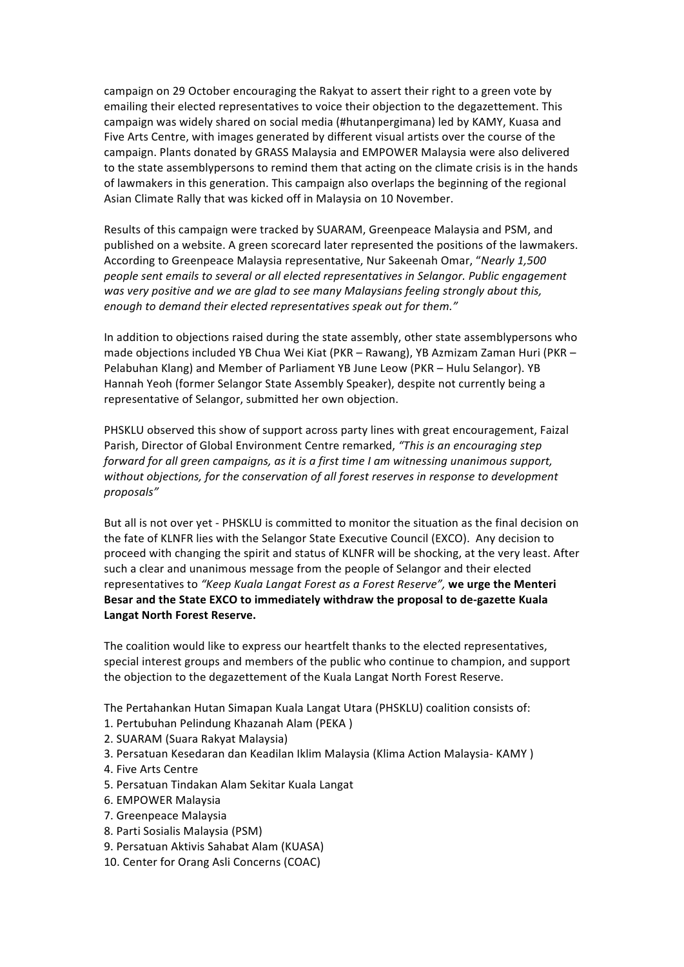campaign on 29 October encouraging the Rakyat to assert their right to a green vote by emailing their elected representatives to voice their objection to the degazettement. This campaign was widely shared on social media (#hutanpergimana) led by KAMY, Kuasa and Five Arts Centre, with images generated by different visual artists over the course of the campaign. Plants donated by GRASS Malaysia and EMPOWER Malaysia were also delivered to the state assemblypersons to remind them that acting on the climate crisis is in the hands of lawmakers in this generation. This campaign also overlaps the beginning of the regional Asian Climate Rally that was kicked off in Malaysia on 10 November.

Results of this campaign were tracked by SUARAM, Greenpeace Malaysia and PSM, and published on a website. A green scorecard later represented the positions of the lawmakers. According to Greenpeace Malaysia representative, Nur Sakeenah Omar, "Nearly 1,500 *people* sent emails to several or all elected representatives in Selangor. Public engagement was very positive and we are glad to see many Malaysians feeling strongly about this, *enough to demand their elected representatives speak out for them."* 

In addition to objections raised during the state assembly, other state assemblypersons who made objections included YB Chua Wei Kiat (PKR – Rawang), YB Azmizam Zaman Huri (PKR – Pelabuhan Klang) and Member of Parliament YB June Leow (PKR – Hulu Selangor). YB Hannah Yeoh (former Selangor State Assembly Speaker), despite not currently being a representative of Selangor, submitted her own objection.

PHSKLU observed this show of support across party lines with great encouragement, Faizal Parish, Director of Global Environment Centre remarked, "This is an encouraging step *forward for all green campaigns, as it is a first time I am witnessing unanimous support,* without objections, for the conservation of all forest reserves in response to development *proposals"*

But all is not over yet - PHSKLU is committed to monitor the situation as the final decision on the fate of KLNFR lies with the Selangor State Executive Council (EXCO). Any decision to proceed with changing the spirit and status of KLNFR will be shocking, at the very least. After such a clear and unanimous message from the people of Selangor and their elected representatives to "Keep Kuala Langat Forest as a Forest Reserve", we urge the Menteri Besar and the State EXCO to immediately withdraw the proposal to de-gazette Kuala Langat North Forest Reserve.

The coalition would like to express our heartfelt thanks to the elected representatives, special interest groups and members of the public who continue to champion, and support the objection to the degazettement of the Kuala Langat North Forest Reserve.

The Pertahankan Hutan Simapan Kuala Langat Utara (PHSKLU) coalition consists of:

- 1. Pertubuhan Pelindung Khazanah Alam (PEKA)
- 2. SUARAM (Suara Rakyat Malaysia)
- 3. Persatuan Kesedaran dan Keadilan Iklim Malaysia (Klima Action Malaysia- KAMY)
- 4. Five Arts Centre
- 5. Persatuan Tindakan Alam Sekitar Kuala Langat
- 6. EMPOWER Malaysia
- 7. Greenpeace Malaysia
- 8. Parti Sosialis Malaysia (PSM)
- 9. Persatuan Aktivis Sahabat Alam (KUASA)
- 10. Center for Orang Asli Concerns (COAC)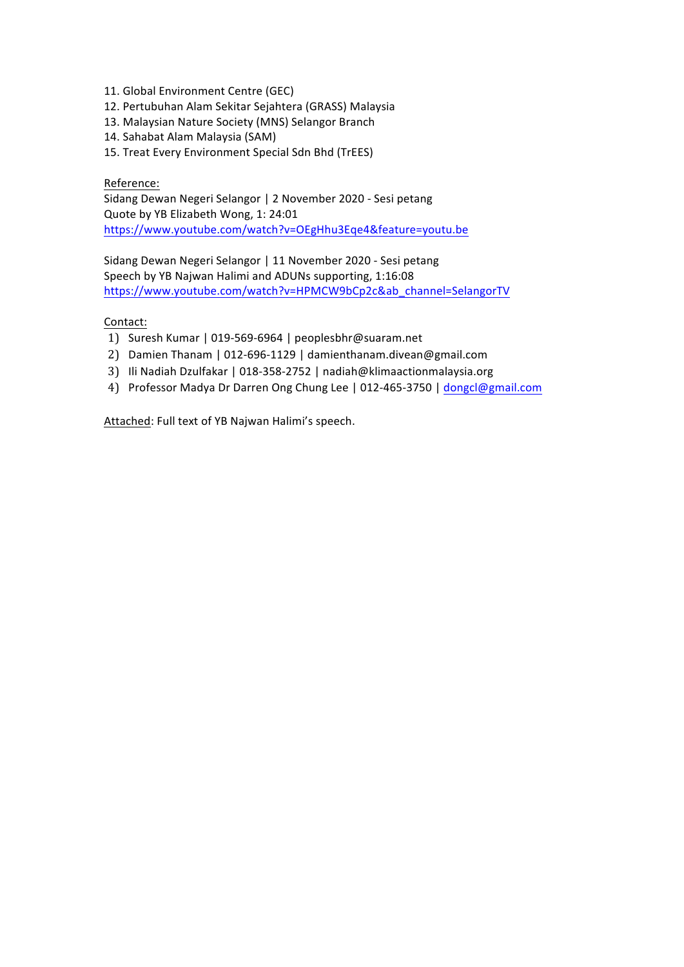- 11. Global Environment Centre (GEC)
- 12. Pertubuhan Alam Sekitar Sejahtera (GRASS) Malaysia
- 13. Malaysian Nature Society (MNS) Selangor Branch
- 14. Sahabat Alam Malaysia (SAM)
- 15. Treat Every Environment Special Sdn Bhd (TrEES)

#### Reference:

Sidang Dewan Negeri Selangor | 2 November 2020 - Sesi petang Quote by YB Elizabeth Wong, 1: 24:01 https://www.youtube.com/watch?v=OEgHhu3Eqe4&feature=youtu.be

Sidang Dewan Negeri Selangor | 11 November 2020 - Sesi petang Speech by YB Najwan Halimi and ADUNs supporting, 1:16:08 https://www.youtube.com/watch?v=HPMCW9bCp2c&ab\_channel=SelangorTV

#### Contact:

- 1) Suresh Kumar | 019-569-6964 | peoplesbhr@suaram.net
- 2) Damien Thanam | 012-696-1129 | damienthanam.divean@gmail.com
- 3) Ili Nadiah Dzulfakar | 018-358-2752 | nadiah@klimaactionmalaysia.org
- 4) Professor Madya Dr Darren Ong Chung Lee | 012-465-3750 | dongcl@gmail.com

Attached: Full text of YB Najwan Halimi's speech.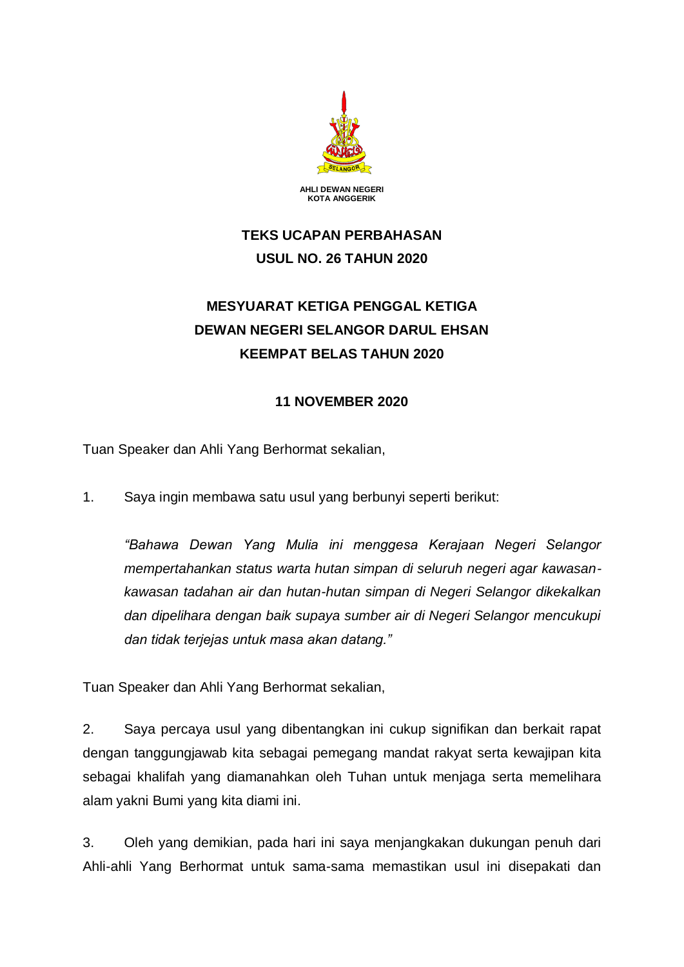

# **TEKS UCAPAN PERBAHASAN USUL NO. 26 TAHUN 2020**

# **MESYUARAT KETIGA PENGGAL KETIGA DEWAN NEGERI SELANGOR DARUL EHSAN KEEMPAT BELAS TAHUN 2020**

## **11 NOVEMBER 2020**

Tuan Speaker dan Ahli Yang Berhormat sekalian,

1. Saya ingin membawa satu usul yang berbunyi seperti berikut:

*"Bahawa Dewan Yang Mulia ini menggesa Kerajaan Negeri Selangor mempertahankan status warta hutan simpan di seluruh negeri agar kawasankawasan tadahan air dan hutan-hutan simpan di Negeri Selangor dikekalkan dan dipelihara dengan baik supaya sumber air di Negeri Selangor mencukupi dan tidak terjejas untuk masa akan datang."*

Tuan Speaker dan Ahli Yang Berhormat sekalian,

2. Saya percaya usul yang dibentangkan ini cukup signifikan dan berkait rapat dengan tanggungjawab kita sebagai pemegang mandat rakyat serta kewajipan kita sebagai khalifah yang diamanahkan oleh Tuhan untuk menjaga serta memelihara alam yakni Bumi yang kita diami ini.

3. Oleh yang demikian, pada hari ini saya menjangkakan dukungan penuh dari Ahli-ahli Yang Berhormat untuk sama-sama memastikan usul ini disepakati dan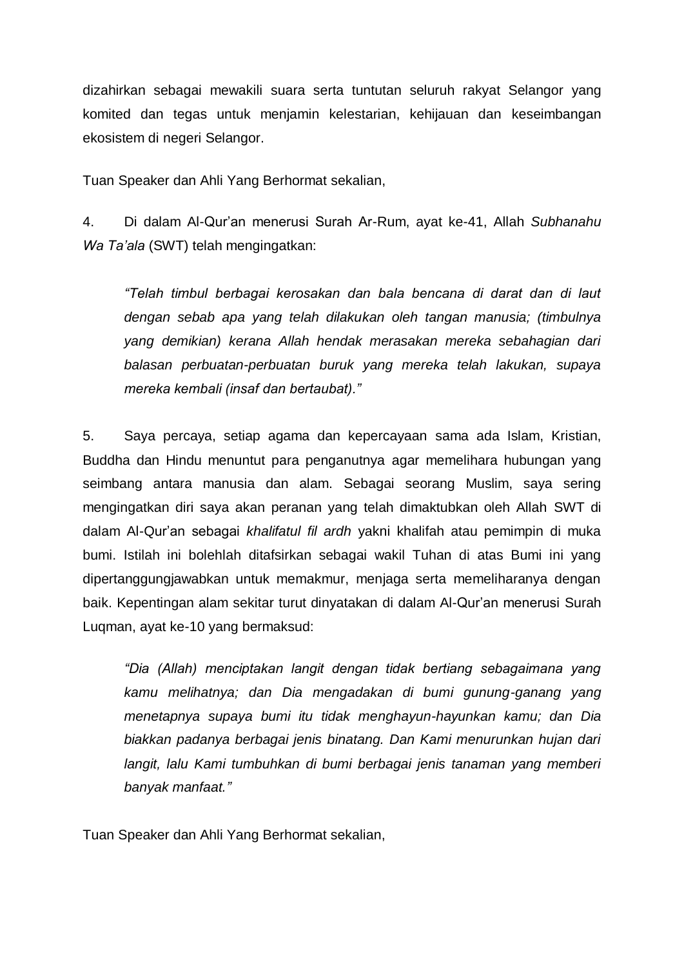dizahirkan sebagai mewakili suara serta tuntutan seluruh rakyat Selangor yang komited dan tegas untuk menjamin kelestarian, kehijauan dan keseimbangan ekosistem di negeri Selangor.

Tuan Speaker dan Ahli Yang Berhormat sekalian,

4. Di dalam Al-Qur'an menerusi Surah Ar-Rum, ayat ke-41, Allah *Subhanahu Wa Ta'ala* (SWT) telah mengingatkan:

*"Telah timbul berbagai kerosakan dan bala bencana di darat dan di laut dengan sebab apa yang telah dilakukan oleh tangan manusia; (timbulnya yang demikian) kerana Allah hendak merasakan mereka sebahagian dari balasan perbuatan-perbuatan buruk yang mereka telah lakukan, supaya mereka kembali (insaf dan bertaubat)."*

5. Saya percaya, setiap agama dan kepercayaan sama ada Islam, Kristian, Buddha dan Hindu menuntut para penganutnya agar memelihara hubungan yang seimbang antara manusia dan alam. Sebagai seorang Muslim, saya sering mengingatkan diri saya akan peranan yang telah dimaktubkan oleh Allah SWT di dalam Al-Qur'an sebagai *khalifatul fil ardh* yakni khalifah atau pemimpin di muka bumi. Istilah ini bolehlah ditafsirkan sebagai wakil Tuhan di atas Bumi ini yang dipertanggungjawabkan untuk memakmur, menjaga serta memeliharanya dengan baik. Kepentingan alam sekitar turut dinyatakan di dalam Al-Qur'an menerusi Surah Luqman, ayat ke-10 yang bermaksud:

*"Dia (Allah) menciptakan langit dengan tidak bertiang sebagaimana yang kamu melihatnya; dan Dia mengadakan di bumi gunung-ganang yang menetapnya supaya bumi itu tidak menghayun-hayunkan kamu; dan Dia biakkan padanya berbagai jenis binatang. Dan Kami menurunkan hujan dari langit, lalu Kami tumbuhkan di bumi berbagai jenis tanaman yang memberi banyak manfaat."*

Tuan Speaker dan Ahli Yang Berhormat sekalian,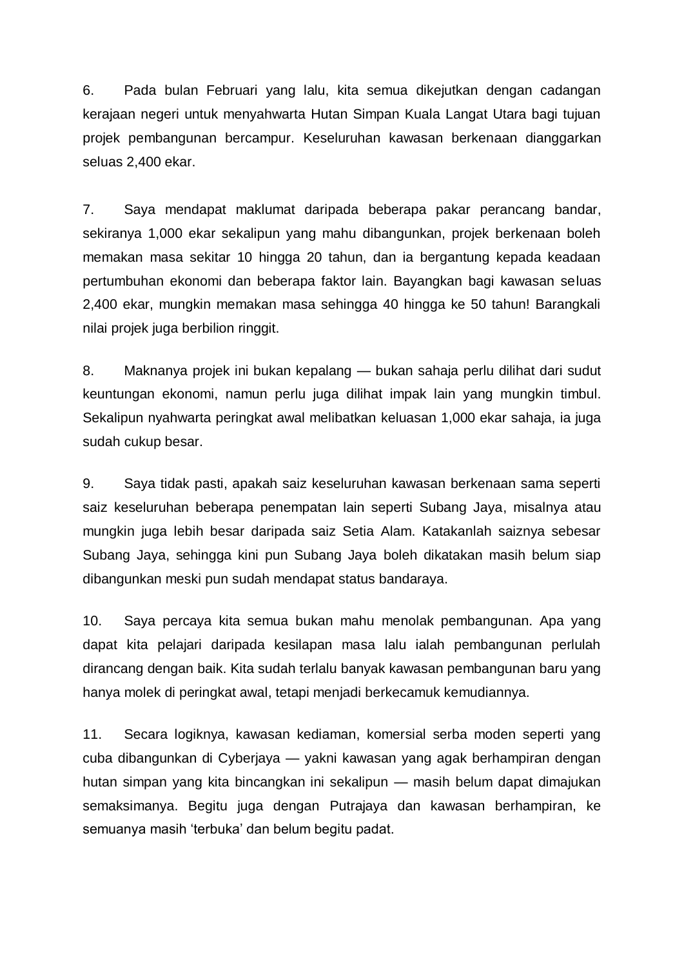6. Pada bulan Februari yang lalu, kita semua dikejutkan dengan cadangan kerajaan negeri untuk menyahwarta Hutan Simpan Kuala Langat Utara bagi tujuan projek pembangunan bercampur. Keseluruhan kawasan berkenaan dianggarkan seluas 2,400 ekar.

7. Saya mendapat maklumat daripada beberapa pakar perancang bandar, sekiranya 1,000 ekar sekalipun yang mahu dibangunkan, projek berkenaan boleh memakan masa sekitar 10 hingga 20 tahun, dan ia bergantung kepada keadaan pertumbuhan ekonomi dan beberapa faktor lain. Bayangkan bagi kawasan seluas 2,400 ekar, mungkin memakan masa sehingga 40 hingga ke 50 tahun! Barangkali nilai projek juga berbilion ringgit.

8. Maknanya projek ini bukan kepalang — bukan sahaja perlu dilihat dari sudut keuntungan ekonomi, namun perlu juga dilihat impak lain yang mungkin timbul. Sekalipun nyahwarta peringkat awal melibatkan keluasan 1,000 ekar sahaja, ia juga sudah cukup besar.

9. Saya tidak pasti, apakah saiz keseluruhan kawasan berkenaan sama seperti saiz keseluruhan beberapa penempatan lain seperti Subang Jaya, misalnya atau mungkin juga lebih besar daripada saiz Setia Alam. Katakanlah saiznya sebesar Subang Jaya, sehingga kini pun Subang Jaya boleh dikatakan masih belum siap dibangunkan meski pun sudah mendapat status bandaraya.

10. Saya percaya kita semua bukan mahu menolak pembangunan. Apa yang dapat kita pelajari daripada kesilapan masa lalu ialah pembangunan perlulah dirancang dengan baik. Kita sudah terlalu banyak kawasan pembangunan baru yang hanya molek di peringkat awal, tetapi menjadi berkecamuk kemudiannya.

11. Secara logiknya, kawasan kediaman, komersial serba moden seperti yang cuba dibangunkan di Cyberjaya — yakni kawasan yang agak berhampiran dengan hutan simpan yang kita bincangkan ini sekalipun — masih belum dapat dimajukan semaksimanya. Begitu juga dengan Putrajaya dan kawasan berhampiran, ke semuanya masih 'terbuka' dan belum begitu padat.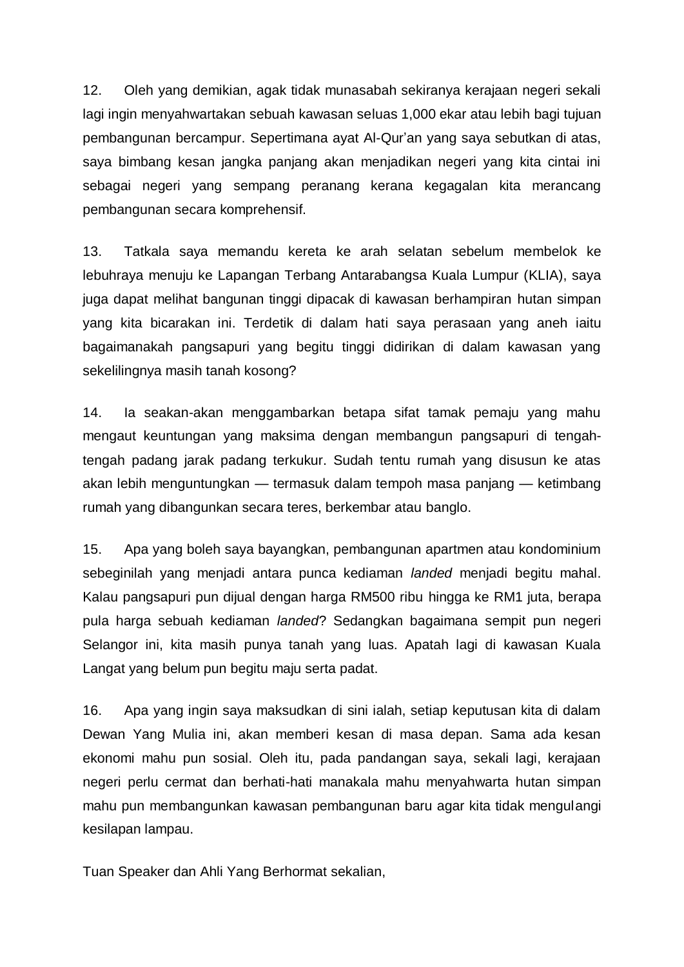12. Oleh yang demikian, agak tidak munasabah sekiranya kerajaan negeri sekali lagi ingin menyahwartakan sebuah kawasan seluas 1,000 ekar atau lebih bagi tujuan pembangunan bercampur. Sepertimana ayat Al-Qur'an yang saya sebutkan di atas, saya bimbang kesan jangka panjang akan menjadikan negeri yang kita cintai ini sebagai negeri yang sempang peranang kerana kegagalan kita merancang pembangunan secara komprehensif.

13. Tatkala saya memandu kereta ke arah selatan sebelum membelok ke lebuhraya menuju ke Lapangan Terbang Antarabangsa Kuala Lumpur (KLIA), saya juga dapat melihat bangunan tinggi dipacak di kawasan berhampiran hutan simpan yang kita bicarakan ini. Terdetik di dalam hati saya perasaan yang aneh iaitu bagaimanakah pangsapuri yang begitu tinggi didirikan di dalam kawasan yang sekelilingnya masih tanah kosong?

14. Ia seakan-akan menggambarkan betapa sifat tamak pemaju yang mahu mengaut keuntungan yang maksima dengan membangun pangsapuri di tengahtengah padang jarak padang terkukur. Sudah tentu rumah yang disusun ke atas akan lebih menguntungkan — termasuk dalam tempoh masa panjang — ketimbang rumah yang dibangunkan secara teres, berkembar atau banglo.

15. Apa yang boleh saya bayangkan, pembangunan apartmen atau kondominium sebeginilah yang menjadi antara punca kediaman *landed* menjadi begitu mahal. Kalau pangsapuri pun dijual dengan harga RM500 ribu hingga ke RM1 juta, berapa pula harga sebuah kediaman *landed*? Sedangkan bagaimana sempit pun negeri Selangor ini, kita masih punya tanah yang luas. Apatah lagi di kawasan Kuala Langat yang belum pun begitu maju serta padat.

16. Apa yang ingin saya maksudkan di sini ialah, setiap keputusan kita di dalam Dewan Yang Mulia ini, akan memberi kesan di masa depan. Sama ada kesan ekonomi mahu pun sosial. Oleh itu, pada pandangan saya, sekali lagi, kerajaan negeri perlu cermat dan berhati-hati manakala mahu menyahwarta hutan simpan mahu pun membangunkan kawasan pembangunan baru agar kita tidak mengulangi kesilapan lampau.

Tuan Speaker dan Ahli Yang Berhormat sekalian,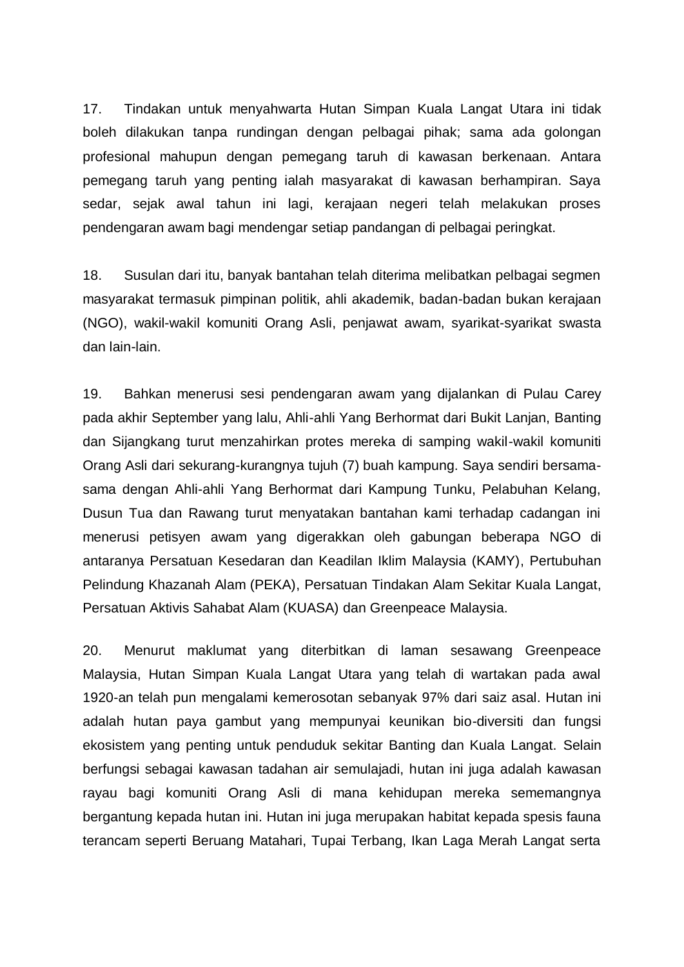17. Tindakan untuk menyahwarta Hutan Simpan Kuala Langat Utara ini tidak boleh dilakukan tanpa rundingan dengan pelbagai pihak; sama ada golongan profesional mahupun dengan pemegang taruh di kawasan berkenaan. Antara pemegang taruh yang penting ialah masyarakat di kawasan berhampiran. Saya sedar, sejak awal tahun ini lagi, kerajaan negeri telah melakukan proses pendengaran awam bagi mendengar setiap pandangan di pelbagai peringkat.

18. Susulan dari itu, banyak bantahan telah diterima melibatkan pelbagai segmen masyarakat termasuk pimpinan politik, ahli akademik, badan-badan bukan kerajaan (NGO), wakil-wakil komuniti Orang Asli, penjawat awam, syarikat-syarikat swasta dan lain-lain.

19. Bahkan menerusi sesi pendengaran awam yang dijalankan di Pulau Carey pada akhir September yang lalu, Ahli-ahli Yang Berhormat dari Bukit Lanjan, Banting dan Sijangkang turut menzahirkan protes mereka di samping wakil-wakil komuniti Orang Asli dari sekurang-kurangnya tujuh (7) buah kampung. Saya sendiri bersamasama dengan Ahli-ahli Yang Berhormat dari Kampung Tunku, Pelabuhan Kelang, Dusun Tua dan Rawang turut menyatakan bantahan kami terhadap cadangan ini menerusi petisyen awam yang digerakkan oleh gabungan beberapa NGO di antaranya Persatuan Kesedaran dan Keadilan Iklim Malaysia (KAMY), Pertubuhan Pelindung Khazanah Alam (PEKA), Persatuan Tindakan Alam Sekitar Kuala Langat, Persatuan Aktivis Sahabat Alam (KUASA) dan Greenpeace Malaysia.

20. Menurut maklumat yang diterbitkan di laman sesawang Greenpeace Malaysia, Hutan Simpan Kuala Langat Utara yang telah di wartakan pada awal 1920-an telah pun mengalami kemerosotan sebanyak 97% dari saiz asal. Hutan ini adalah hutan paya gambut yang mempunyai keunikan bio-diversiti dan fungsi ekosistem yang penting untuk penduduk sekitar Banting dan Kuala Langat. Selain berfungsi sebagai kawasan tadahan air semulajadi, hutan ini juga adalah kawasan rayau bagi komuniti Orang Asli di mana kehidupan mereka sememangnya bergantung kepada hutan ini. Hutan ini juga merupakan habitat kepada spesis fauna terancam seperti Beruang Matahari, Tupai Terbang, Ikan Laga Merah Langat serta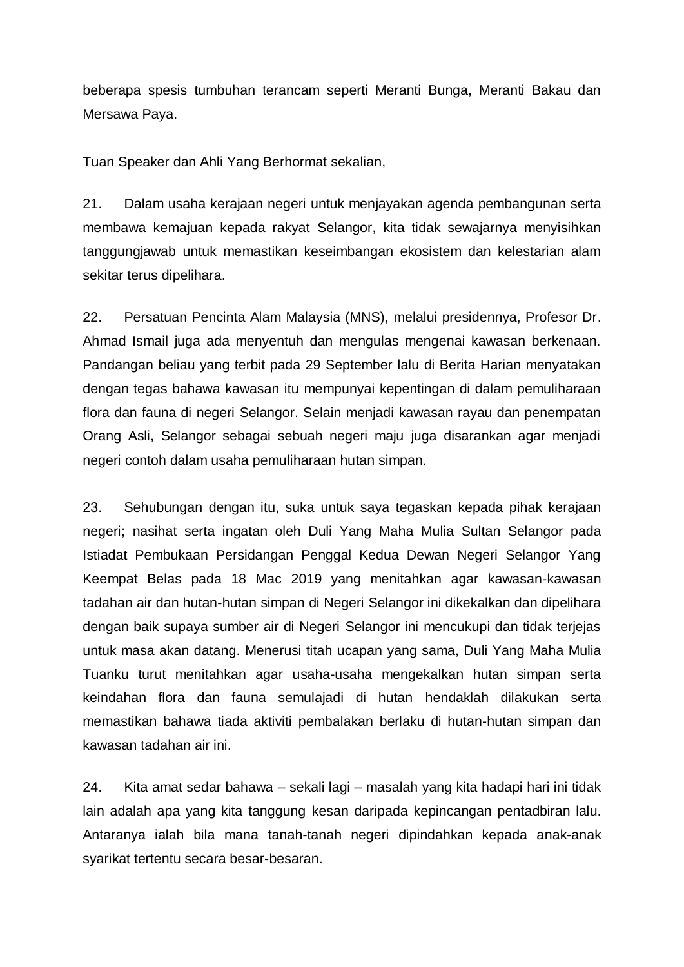beberapa spesis tumbuhan terancam seperti Meranti Bunga, Meranti Bakau dan Mersawa Paya.

Tuan Speaker dan Ahli Yang Berhormat sekalian,

21. Dalam usaha kerajaan negeri untuk menjayakan agenda pembangunan serta membawa kemajuan kepada rakyat Selangor, kita tidak sewajarnya menyisihkan tanggungjawab untuk memastikan keseimbangan ekosistem dan kelestarian alam sekitar terus dipelihara.

22. Persatuan Pencinta Alam Malaysia (MNS), melalui presidennya, Profesor Dr. Ahmad Ismail juga ada menyentuh dan mengulas mengenai kawasan berkenaan. Pandangan beliau yang terbit pada 29 September lalu di Berita Harian menyatakan dengan tegas bahawa kawasan itu mempunyai kepentingan di dalam pemuliharaan flora dan fauna di negeri Selangor. Selain menjadi kawasan rayau dan penempatan Orang Asli, Selangor sebagai sebuah negeri maju juga disarankan agar menjadi negeri contoh dalam usaha pemuliharaan hutan simpan.

23. Sehubungan dengan itu, suka untuk saya tegaskan kepada pihak kerajaan negeri; nasihat serta ingatan oleh Duli Yang Maha Mulia Sultan Selangor pada Istiadat Pembukaan Persidangan Penggal Kedua Dewan Negeri Selangor Yang Keempat Belas pada 18 Mac 2019 yang menitahkan agar kawasan-kawasan tadahan air dan hutan-hutan simpan di Negeri Selangor ini dikekalkan dan dipelihara dengan baik supaya sumber air di Negeri Selangor ini mencukupi dan tidak terjejas untuk masa akan datang. Menerusi titah ucapan yang sama, Duli Yang Maha Mulia Tuanku turut menitahkan agar usaha-usaha mengekalkan hutan simpan serta keindahan flora dan fauna semulajadi di hutan hendaklah dilakukan serta memastikan bahawa tiada aktiviti pembalakan berlaku di hutan-hutan simpan dan kawasan tadahan air ini.

24. Kita amat sedar bahawa – sekali lagi – masalah yang kita hadapi hari ini tidak lain adalah apa yang kita tanggung kesan daripada kepincangan pentadbiran lalu. Antaranya ialah bila mana tanah-tanah negeri dipindahkan kepada anak-anak syarikat tertentu secara besar-besaran.